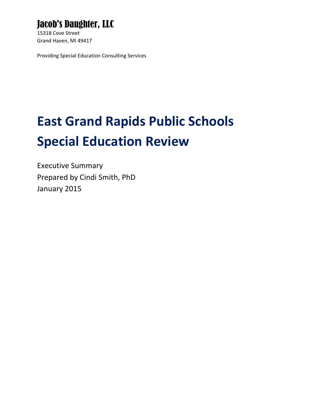# Jacob's Daughter, LLC

15318 Cove Street Grand Haven, MI 49417

Providing Special Education Consulting Services

# **East Grand Rapids Public Schools Special Education Review**

Executive Summary Prepared by Cindi Smith, PhD January 2015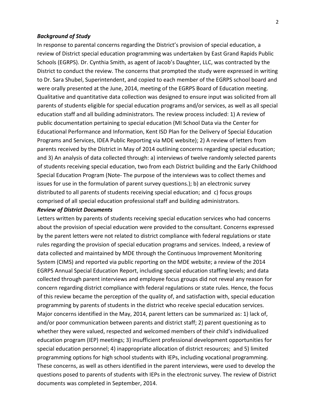#### *Background of Study*

In response to parental concerns regarding the District's provision of special education, a review of District special education programming was undertaken by East Grand Rapids Public Schools (EGRPS). Dr. Cynthia Smith, as agent of Jacob's Daughter, LLC, was contracted by the District to conduct the review. The concerns that prompted the study were expressed in writing to Dr. Sara Shubel, Superintendent, and copied to each member of the EGRPS school board and were orally presented at the June, 2014, meeting of the EGRPS Board of Education meeting. Qualitative and quantitative data collection was designed to ensure input was solicited from all parents of students eligible for special education programs and/or services, as well as all special education staff and all building administrators. The review process included: 1) A review of public documentation pertaining to special education (MI School Data via the Center for Educational Performance and Information, Kent ISD Plan for the Delivery of Special Education Programs and Services, IDEA Public Reporting via MDE website); 2) A review of letters from parents received by the District in May of 2014 outlining concerns regarding special education; and 3) An analysis of data collected through: a) interviews of twelve randomly selected parents of students receiving special education, two from each District building and the Early Childhood Special Education Program (Note- The purpose of the interviews was to collect themes and issues for use in the formulation of parent survey questions.); b) an electronic survey distributed to all parents of students receiving special education; and c) focus groups comprised of all special education professional staff and building administrators.

## *Review of District Documents*

Letters written by parents of students receiving special education services who had concerns about the provision of special education were provided to the consultant. Concerns expressed by the parent letters were not related to district compliance with federal regulations or state rules regarding the provision of special education programs and services. Indeed, a review of data collected and maintained by MDE through the Continuous Improvement Monitoring System (CIMS) and reported via public reporting on the MDE website; a review of the 2014 EGRPS Annual Special Education Report, including special education staffing levels; and data collected through parent interviews and employee focus groups did not reveal any reason for concern regarding district compliance with federal regulations or state rules. Hence, the focus of this review became the perception of the quality of, and satisfaction with, special education programming by parents of students in the district who receive special education services. Major concerns identified in the May, 2014, parent letters can be summarized as: 1) lack of, and/or poor communication between parents and district staff; 2) parent questioning as to whether they were valued, respected and welcomed members of their child's individualized education program (IEP) meetings; 3) insufficient professional development opportunities for special education personnel; 4) inappropriate allocation of district resources; and 5) limited programming options for high school students with IEPs, including vocational programming. These concerns, as well as others identified in the parent interviews, were used to develop the questions posed to parents of students with IEPs in the electronic survey. The review of District documents was completed in September, 2014.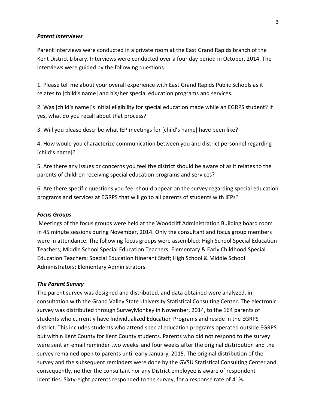#### *Parent Interviews*

Parent interviews were conducted in a private room at the East Grand Rapids branch of the Kent District Library. Interviews were conducted over a four day period in October, 2014. The interviews were guided by the following questions:

1. Please tell me about your overall experience with East Grand Rapids Public Schools as it relates to [child's name] and his/her special education programs and services.

2. Was [child's name]'s initial eligibility for special education made while an EGRPS student? If yes, what do you recall about that process?

3. Will you please describe what IEP meetings for [child's name] have been like?

4. How would you characterize communication between you and district personnel regarding [child's name]?

5. Are there any issues or concerns you feel the district should be aware of as it relates to the parents of children receiving special education programs and services?

6. Are there specific questions you feel should appear on the survey regarding special education programs and services at EGRPS that will go to all parents of students with IEPs?

#### *Focus Groups*

Meetings of the focus groups were held at the Woodcliff Administration Building board room in 45 minute sessions during November, 2014. Only the consultant and focus group members were in attendance. The following focus groups were assembled: High School Special Education Teachers; Middle School Special Education Teachers; Elementary & Early Childhood Special Education Teachers; Special Education Itinerant Staff; High School & Middle School Administrators; Elementary Administrators.

#### *The Parent Survey*

The parent survey was designed and distributed, and data obtained were analyzed, in consultation with the Grand Valley State University Statistical Consulting Center. The electronic survey was distributed through SurveyMonkey in November, 2014, to the 164 parents of students who currently have Individualized Education Programs and reside in the EGRPS district. This includes students who attend special education programs operated outside EGRPS but within Kent County for Kent County students. Parents who did not respond to the survey were sent an email reminder two weeks and four weeks after the original distribution and the survey remained open to parents until early January, 2015. The original distribution of the survey and the subsequent reminders were done by the GVSU Statistical Consulting Center and consequently, neither the consultant nor any District employee is aware of respondent identities. Sixty-eight parents responded to the survey, for a response rate of 41%.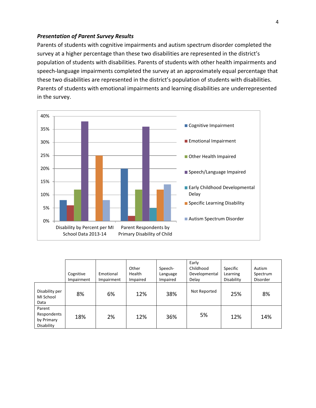## *Presentation of Parent Survey Results*

Parents of students with cognitive impairments and autism spectrum disorder completed the survey at a higher percentage than these two disabilities are represented in the district's population of students with disabilities. Parents of students with other health impairments and speech-language impairments completed the survey at an approximately equal percentage that these two disabilities are represented in the district's population of students with disabilities. Parents of students with emotional impairments and learning disabilities are underrepresented in the survey.



|                                                   | Cognitive<br>Impairment | Emotional<br>Impairment | Other<br>Health<br>Impaired | Speech-<br>Language<br>Impaired | Early<br>Childhood<br>Developmental<br>Delay | Specific<br>Learning<br>Disability | Autism<br>Spectrum<br>Disorder |
|---------------------------------------------------|-------------------------|-------------------------|-----------------------------|---------------------------------|----------------------------------------------|------------------------------------|--------------------------------|
| Disability per<br>MI School<br>Data               | 8%                      | 6%                      | 12%                         | 38%                             | Not Reported                                 | 25%                                | 8%                             |
| Parent<br>Respondents<br>by Primary<br>Disability | 18%                     | 2%                      | 12%                         | 36%                             | 5%                                           | 12%                                | 14%                            |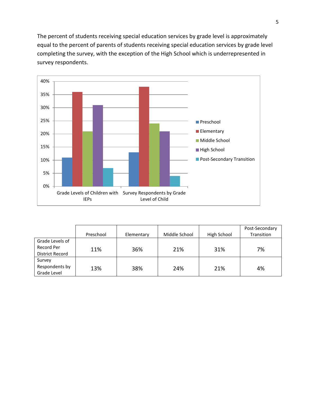The percent of students receiving special education services by grade level is approximately equal to the percent of parents of students receiving special education services by grade level completing the survey, with the exception of the High School which is underrepresented in survey respondents.



|                                                  | Preschool | Elementary | Middle School | High School | Post-Secondary<br>Transition |
|--------------------------------------------------|-----------|------------|---------------|-------------|------------------------------|
| Grade Levels of<br>Record Per<br>District Record | 11%       | 36%        | 21%           | 31%         | 7%                           |
| Survey<br>Respondents by<br>Grade Level          | 13%       | 38%        | 24%           | 21%         | 4%                           |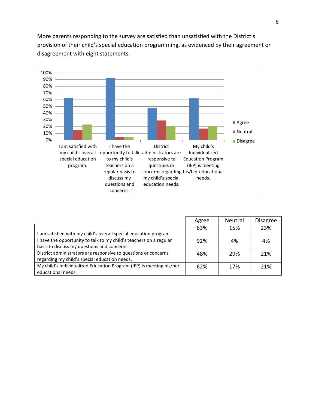More parents responding to the survey are satisfied than unsatisfied with the District's provision of their child's special education programming, as evidenced by their agreement or disagreement with eight statements.

6



|                                                                      | Agree | Neutral | <b>Disagree</b> |
|----------------------------------------------------------------------|-------|---------|-----------------|
|                                                                      | 63%   | 15%     | 23%             |
| I am satisfied with my child's overall special education program.    |       |         |                 |
| I have the opportunity to talk to my child's teachers on a regular   | 92%   | 4%      | 4%              |
| basis to discuss my questions and concerns                           |       |         |                 |
| District administrators are responsive to questions or concerns      | 48%   | 29%     | 21%             |
| regarding my child's special education needs.                        |       |         |                 |
| My child's Individualized Education Program (IEP) is meeting his/her | 62%   | 17%     | 21%             |
| educational needs.                                                   |       |         |                 |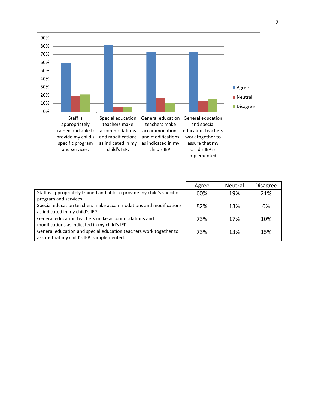

|                                                                        | Agree | <b>Neutral</b> | <b>Disagree</b> |
|------------------------------------------------------------------------|-------|----------------|-----------------|
| Staff is appropriately trained and able to provide my child's specific | 60%   | 19%            | 21%             |
| program and services.                                                  |       |                |                 |
| Special education teachers make accommodations and modifications       | 82%   | 13%            | 6%              |
| as indicated in my child's IEP.                                        |       |                |                 |
| General education teachers make accommodations and                     | 73%   | 17%            | 10%             |
| modifications as indicated in my child's IEP.                          |       |                |                 |
| General education and special education teachers work together to      | 73%   | 13%            | 15%             |
| assure that my child's IEP is implemented.                             |       |                |                 |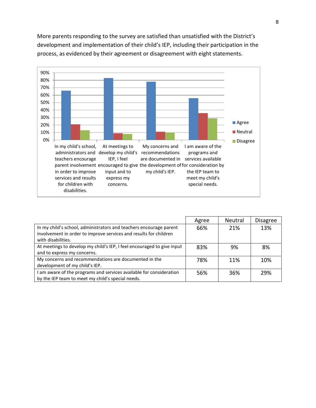

More parents responding to the survey are satisfied than unsatisfied with the District's development and implementation of their child's IEP, including their participation in the process, as evidenced by their agreement or disagreement with eight statements.

|                                                                                                                                                               | Agree | Neutral | <b>Disagree</b> |
|---------------------------------------------------------------------------------------------------------------------------------------------------------------|-------|---------|-----------------|
| In my child's school, administrators and teachers encourage parent<br>involvement in order to improve services and results for children<br>with disabilities. | 66%   | 21%     | 13%             |
| At meetings to develop my child's IEP, I feel encouraged to give input<br>and to express my concerns.                                                         | 83%   | 9%      | 8%              |
| My concerns and recommendations are documented in the<br>development of my child's IEP.                                                                       | 78%   | 11%     | 10%             |
| am aware of the programs and services available for consideration<br>by the IEP team to meet my child's special needs.                                        | 56%   | 36%     | 29%             |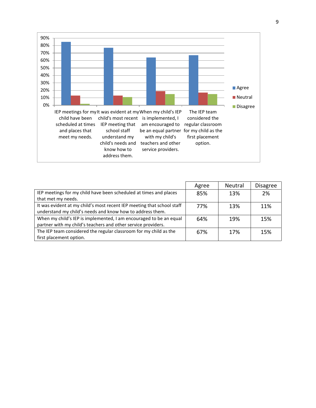

|                                                                        | Agree | <b>Neutral</b> | <b>Disagree</b> |
|------------------------------------------------------------------------|-------|----------------|-----------------|
| IEP meetings for my child have been scheduled at times and places      | 85%   | 13%            | 2%              |
| that met my needs.                                                     |       |                |                 |
| It was evident at my child's most recent IEP meeting that school staff | 77%   | 13%            | 11%             |
| understand my child's needs and know how to address them.              |       |                |                 |
| When my child's IEP is implemented, I am encouraged to be an equal     | 64%   | 19%            | 15%             |
| partner with my child's teachers and other service providers.          |       |                |                 |
| The IEP team considered the regular classroom for my child as the      | 67%   | 17%            | 15%             |
| first placement option.                                                |       |                |                 |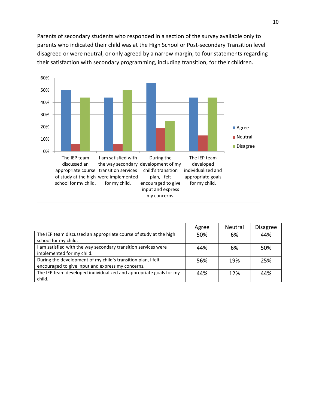Parents of secondary students who responded in a section of the survey available only to parents who indicated their child was at the High School or Post-secondary Transition level disagreed or were neutral, or only agreed by a narrow margin, to four statements regarding their satisfaction with secondary programming, including transition, for their children.



|                                                                    | Agree | <b>Neutral</b> | <b>Disagree</b> |
|--------------------------------------------------------------------|-------|----------------|-----------------|
| The IEP team discussed an appropriate course of study at the high  | 50%   | 6%             | 44%             |
| school for my child.                                               |       |                |                 |
| I am satisfied with the way secondary transition services were     | 44%   | 6%             | 50%             |
| implemented for my child.                                          |       |                |                 |
| During the development of my child's transition plan, I felt       | 56%   | 19%            | 25%             |
| encouraged to give input and express my concerns.                  |       |                |                 |
| The IEP team developed individualized and appropriate goals for my | 44%   | 12%            | 44%             |
| child.                                                             |       |                |                 |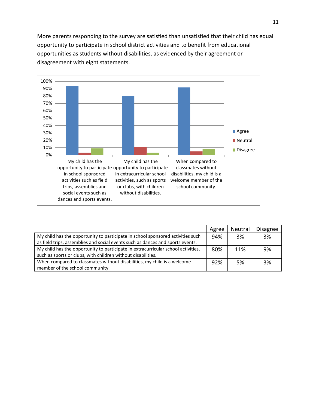More parents responding to the survey are satisfied than unsatisfied that their child has equal opportunity to participate in school district activities and to benefit from educational opportunities as students without disabilities, as evidenced by their agreement or disagreement with eight statements.



|                                                                                   | Agree | Neutral | <b>Disagree</b> |
|-----------------------------------------------------------------------------------|-------|---------|-----------------|
| My child has the opportunity to participate in school sponsored activities such   | 94%   | 3%      | 3%              |
| as field trips, assemblies and social events such as dances and sports events.    |       |         |                 |
| My child has the opportunity to participate in extracurricular school activities, | 80%   | 11%     | 9%              |
| such as sports or clubs, with children without disabilities.                      |       |         |                 |
| When compared to classmates without disabilities, my child is a welcome           | 92%   | .5%     | 3%              |
| member of the school community.                                                   |       |         |                 |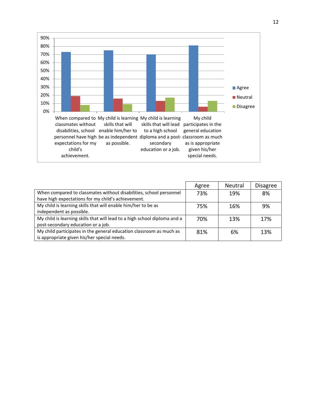

|                                                                           | Agree | Neutral | <b>Disagree</b> |
|---------------------------------------------------------------------------|-------|---------|-----------------|
| When compared to classmates without disabilities, school personnel        | 73%   | 19%     | 8%              |
| have high expectations for my child's achievement.                        |       |         |                 |
| My child is learning skills that will enable him/her to be as             | 75%   | 16%     | 9%              |
| independent as possible.                                                  |       |         |                 |
| My child is learning skills that will lead to a high school diploma and a | 70%   | 13%     | 17%             |
| post-secondary education or a job.                                        |       |         |                 |
| My child participates in the general education classroom as much as       | 81%   | 6%      | 13%             |
| is appropriate given his/her special needs.                               |       |         |                 |